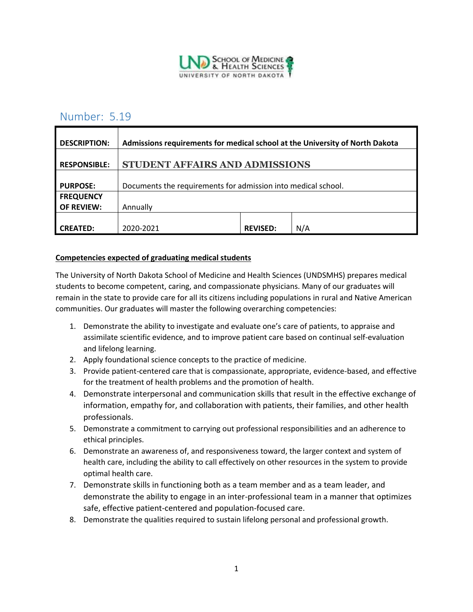

# Number: 5.19

| <b>DESCRIPTION:</b> | Admissions requirements for medical school at the University of North Dakota |                 |     |
|---------------------|------------------------------------------------------------------------------|-----------------|-----|
| <b>RESPONSIBLE:</b> | STUDENT AFFAIRS AND ADMISSIONS                                               |                 |     |
| <b>PURPOSE:</b>     | Documents the requirements for admission into medical school.                |                 |     |
| <b>FREQUENCY</b>    |                                                                              |                 |     |
| <b>OF REVIEW:</b>   | Annually                                                                     |                 |     |
|                     |                                                                              |                 |     |
| <b>CREATED:</b>     | 2020-2021                                                                    | <b>REVISED:</b> | N/A |

#### **Competencies expected of graduating medical students**

The University of North Dakota School of Medicine and Health Sciences (UNDSMHS) prepares medical students to become competent, caring, and compassionate physicians. Many of our graduates will remain in the state to provide care for all its citizens including populations in rural and Native American communities. Our graduates will master the following overarching competencies:

- 1. Demonstrate the ability to investigate and evaluate one's care of patients, to appraise and assimilate scientific evidence, and to improve patient care based on continual self-evaluation and lifelong learning.
- 2. Apply foundational science concepts to the practice of medicine.
- 3. Provide patient-centered care that is compassionate, appropriate, evidence-based, and effective for the treatment of health problems and the promotion of health.
- 4. Demonstrate interpersonal and communication skills that result in the effective exchange of information, empathy for, and collaboration with patients, their families, and other health professionals.
- 5. Demonstrate a commitment to carrying out professional responsibilities and an adherence to ethical principles.
- 6. Demonstrate an awareness of, and responsiveness toward, the larger context and system of health care, including the ability to call effectively on other resources in the system to provide optimal health care.
- 7. Demonstrate skills in functioning both as a team member and as a team leader, and demonstrate the ability to engage in an inter-professional team in a manner that optimizes safe, effective patient-centered and population-focused care.
- 8. Demonstrate the qualities required to sustain lifelong personal and professional growth.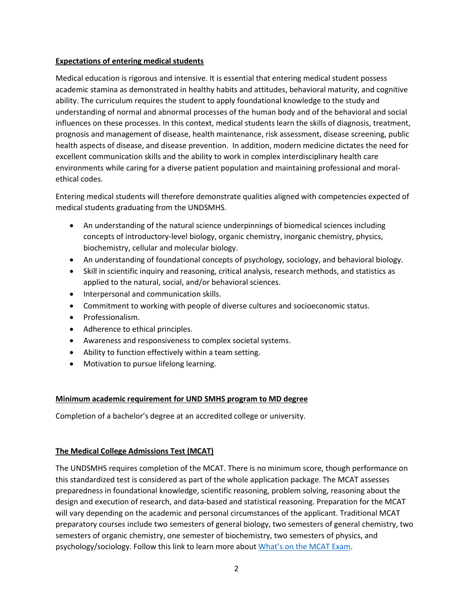#### **Expectations of entering medical students**

Medical education is rigorous and intensive. It is essential that entering medical student possess academic stamina as demonstrated in healthy habits and attitudes, behavioral maturity, and cognitive ability. The curriculum requires the student to apply foundational knowledge to the study and understanding of normal and abnormal processes of the human body and of the behavioral and social influences on these processes. In this context, medical students learn the skills of diagnosis, treatment, prognosis and management of disease, health maintenance, risk assessment, disease screening, public health aspects of disease, and disease prevention. In addition, modern medicine dictates the need for excellent communication skills and the ability to work in complex interdisciplinary health care environments while caring for a diverse patient population and maintaining professional and moralethical codes.

Entering medical students will therefore demonstrate qualities aligned with competencies expected of medical students graduating from the UNDSMHS.

- An understanding of the natural science underpinnings of biomedical sciences including concepts of introductory-level biology, organic chemistry, inorganic chemistry, physics, biochemistry, cellular and molecular biology.
- An understanding of foundational concepts of psychology, sociology, and behavioral biology.
- Skill in scientific inquiry and reasoning, critical analysis, research methods, and statistics as applied to the natural, social, and/or behavioral sciences.
- Interpersonal and communication skills.
- Commitment to working with people of diverse cultures and socioeconomic status.
- Professionalism.
- Adherence to ethical principles.
- Awareness and responsiveness to complex societal systems.
- Ability to function effectively within a team setting.
- Motivation to pursue lifelong learning.

#### **Minimum academic requirement for UND SMHS program to MD degree**

Completion of a bachelor's degree at an accredited college or university.

#### **The Medical College Admissions Test (MCAT)**

The UNDSMHS requires completion of the MCAT. There is no minimum score, though performance on this standardized test is considered as part of the whole application package. The MCAT assesses preparedness in foundational knowledge, scientific reasoning, problem solving, reasoning about the design and execution of research, and data-based and statistical reasoning. Preparation for the MCAT will vary depending on the academic and personal circumstances of the applicant. Traditional MCAT preparatory courses include two semesters of general biology, two semesters of general chemistry, two semesters of organic chemistry, one semester of biochemistry, two semesters of physics, and psychology/sociology. Follow this link to learn more about [What's on the MCAT Exam](https://students-residents.aamc.org/applying-medical-school/article/whats-mcat-exam/).